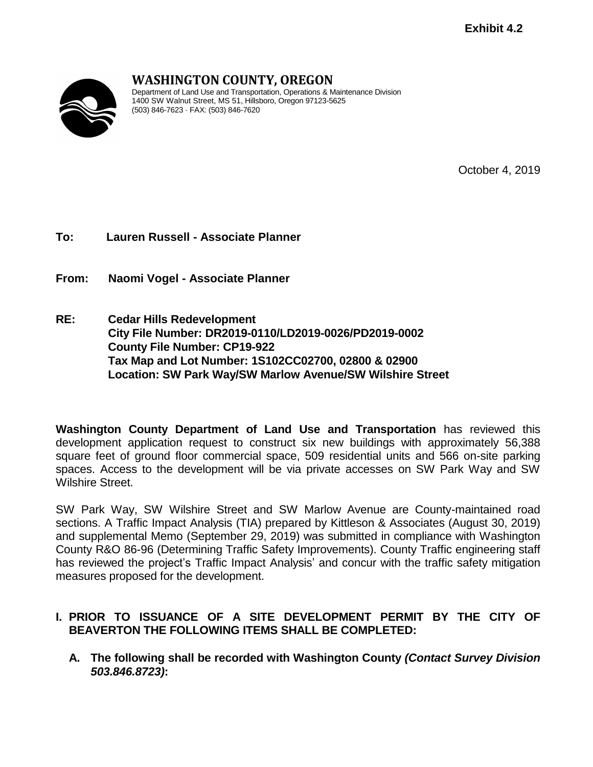

# **WASHINGTON COUNTY, OREGON**

Department of Land Use and Transportation, Operations & Maintenance Division 1400 SW Walnut Street, MS 51, Hillsboro, Oregon 97123-5625 (503) 846-7623 · FAX: (503) 846-7620

October 4, 2019

**To: Lauren Russell - Associate Planner**

**From: Naomi Vogel - Associate Planner**

**RE: Cedar Hills Redevelopment City File Number: DR2019-0110/LD2019-0026/PD2019-0002 County File Number: CP19-922 Tax Map and Lot Number: 1S102CC02700, 02800 & 02900 Location: SW Park Way/SW Marlow Avenue/SW Wilshire Street**

**Washington County Department of Land Use and Transportation** has reviewed this development application request to construct six new buildings with approximately 56,388 square feet of ground floor commercial space, 509 residential units and 566 on-site parking spaces. Access to the development will be via private accesses on SW Park Way and SW Wilshire Street.

SW Park Way, SW Wilshire Street and SW Marlow Avenue are County-maintained road sections. A Traffic Impact Analysis (TIA) prepared by Kittleson & Associates (August 30, 2019) and supplemental Memo (September 29, 2019) was submitted in compliance with Washington County R&O 86-96 (Determining Traffic Safety Improvements). County Traffic engineering staff has reviewed the project's Traffic Impact Analysis' and concur with the traffic safety mitigation measures proposed for the development.

## **I. PRIOR TO ISSUANCE OF A SITE DEVELOPMENT PERMIT BY THE CITY OF BEAVERTON THE FOLLOWING ITEMS SHALL BE COMPLETED:**

**A. The following shall be recorded with Washington County** *(Contact Survey Division 503.846.8723)***:**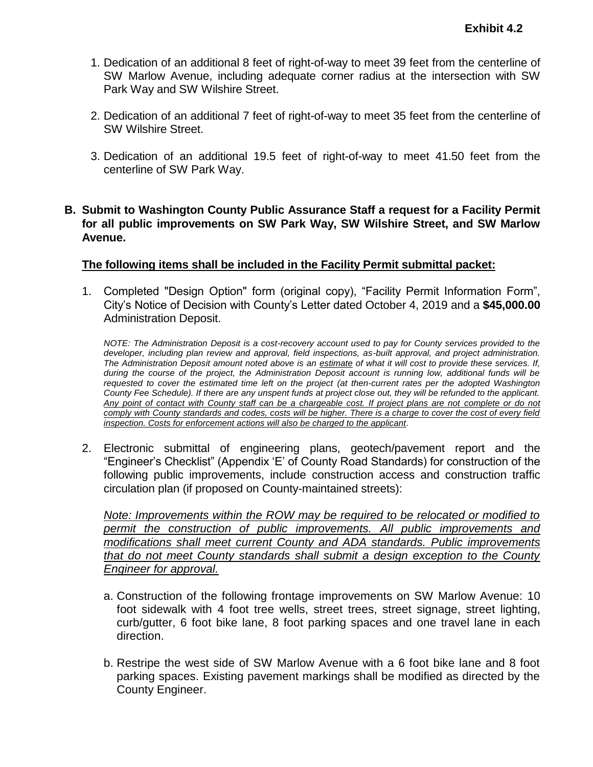- 1. Dedication of an additional 8 feet of right-of-way to meet 39 feet from the centerline of SW Marlow Avenue, including adequate corner radius at the intersection with SW Park Way and SW Wilshire Street.
- 2. Dedication of an additional 7 feet of right-of-way to meet 35 feet from the centerline of SW Wilshire Street.
- 3. Dedication of an additional 19.5 feet of right-of-way to meet 41.50 feet from the centerline of SW Park Way.

#### **B. Submit to Washington County Public Assurance Staff a request for a Facility Permit for all public improvements on SW Park Way, SW Wilshire Street, and SW Marlow Avenue.**

#### **The following items shall be included in the Facility Permit submittal packet:**

1. Completed "Design Option" form (original copy), "Facility Permit Information Form", City's Notice of Decision with County's Letter dated October 4, 2019 and a **\$45,000.00** Administration Deposit.

*NOTE: The Administration Deposit is a cost-recovery account used to pay for County services provided to the*  developer, including plan review and approval, field inspections, as-built approval, and project administration. *The Administration Deposit amount noted above is an estimate of what it will cost to provide these services. If, during the course of the project, the Administration Deposit account is running low, additional funds will be requested to cover the estimated time left on the project (at then-current rates per the adopted Washington County Fee Schedule). If there are any unspent funds at project close out, they will be refunded to the applicant.*  Any point of contact with County staff can be a chargeable cost. If project plans are not complete or do not *comply with County standards and codes, costs will be higher. There is a charge to cover the cost of every field inspection. Costs for enforcement actions will also be charged to the applicant.*

2. Electronic submittal of engineering plans, geotech/pavement report and the "Engineer's Checklist" (Appendix 'E' of County Road Standards) for construction of the following public improvements, include construction access and construction traffic circulation plan (if proposed on County-maintained streets):

*Note: Improvements within the ROW may be required to be relocated or modified to permit the construction of public improvements. All public improvements and modifications shall meet current County and ADA standards. Public improvements that do not meet County standards shall submit a design exception to the County Engineer for approval.*

- a. Construction of the following frontage improvements on SW Marlow Avenue: 10 foot sidewalk with 4 foot tree wells, street trees, street signage, street lighting, curb/gutter, 6 foot bike lane, 8 foot parking spaces and one travel lane in each direction.
- b. Restripe the west side of SW Marlow Avenue with a 6 foot bike lane and 8 foot parking spaces. Existing pavement markings shall be modified as directed by the County Engineer.